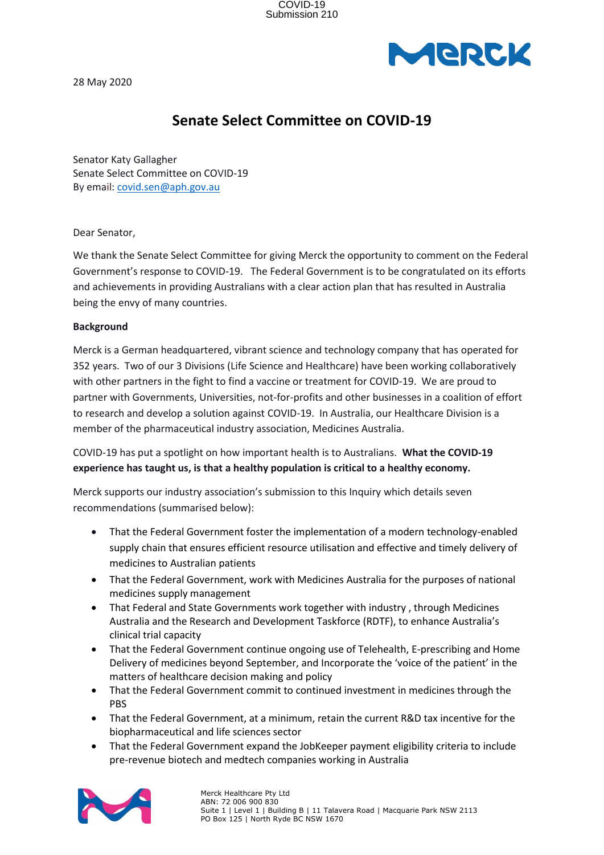

28 May 2020

### **Senate Select Committee on COVID-19**

Senator Katy Gallagher Senate Select Committee on COVID-19 By email: covid.sen@aph.gov.au

Dear Senator,

We thank the Senate Select Committee for giving Merck the opportunity to comment on the Federal Government's response to COVID-19. The Federal Government is to be congratulated on its efforts and achievements in providing Australians with a clear action plan that has resulted in Australia being the envy of many countries.

#### **Background**

Merck is a German headquartered, vibrant science and technology company that has operated for 352 years. Two of our 3 Divisions (Life Science and Healthcare) have been working collaboratively with other partners in the fight to find a vaccine or treatment for COVID-19. We are proud to partner with Governments, Universities, not-for-profits and other businesses in a coalition of effort to research and develop a solution against COVID-19. In Australia, our Healthcare Division is a member of the pharmaceutical industry association, Medicines Australia.

COVID-19 has put a spotlight on how important health is to Australians. **What the COVID-19 experience has taught us, is that a healthy population is critical to a healthy economy.**

Merck supports our industry association's submission to this Inquiry which details seven recommendations (summarised below):

- That the Federal Government foster the implementation of a modern technology-enabled supply chain that ensures efficient resource utilisation and effective and timely delivery of medicines to Australian patients
- That the Federal Government, work with Medicines Australia for the purposes of national medicines supply management
- That Federal and State Governments work together with industry , through Medicines Australia and the Research and Development Taskforce (RDTF), to enhance Australia's clinical trial capacity
- That the Federal Government continue ongoing use of Telehealth, E-prescribing and Home Delivery of medicines beyond September, and Incorporate the 'voice of the patient' in the matters of healthcare decision making and policy
- That the Federal Government commit to continued investment in medicines through the PBS
- That the Federal Government, at a minimum, retain the current R&D tax incentive for the biopharmaceutical and life sciences sector
- That the Federal Government expand the JobKeeper payment eligibility criteria to include pre-revenue biotech and medtech companies working in Australia

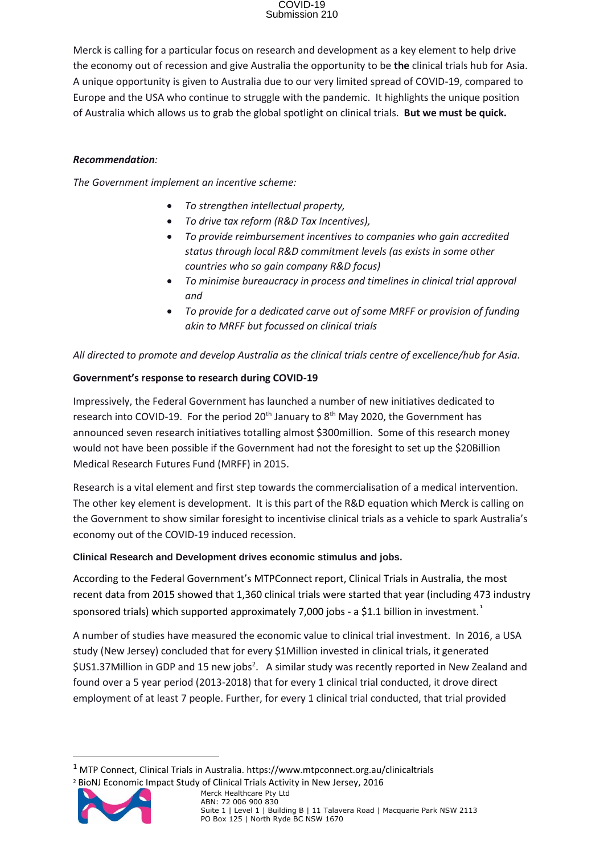## COVID-19 Submission 210

Merck is calling for a particular focus on research and development as a key element to help drive the economy out of recession and give Australia the opportunity to be **the** clinical trials hub for Asia. A unique opportunity is given to Australia due to our very limited spread of COVID-19, compared to Europe and the USA who continue to struggle with the pandemic. It highlights the unique position of Australia which allows us to grab the global spotlight on clinical trials. **But we must be quick.** 

### *Recommendation:*

*The Government implement an incentive scheme:*

- *To strengthen intellectual property,*
- *To drive tax reform (R&D Tax Incentives),*
- *To provide reimbursement incentives to companies who gain accredited status through local R&D commitment levels (as exists in some other countries who so gain company R&D focus)*
- *To minimise bureaucracy in process and timelines in clinical trial approval and*
- *To provide for a dedicated carve out of some MRFF or provision of funding akin to MRFF but focussed on clinical trials*

*All directed to promote and develop Australia as the clinical trials centre of excellence/hub for Asia.*

#### **Government's response to research during COVID-19**

Impressively, the Federal Government has launched a number of new initiatives dedicated to research into COVID-19. For the period 20<sup>th</sup> January to 8<sup>th</sup> May 2020, the Government has announced seven research initiatives totalling almost \$300million. Some of this research money would not have been possible if the Government had not the foresight to set up the \$20Billion Medical Research Futures Fund (MRFF) in 2015.

Research is a vital element and first step towards the commercialisation of a medical intervention. The other key element is development. It is this part of the R&D equation which Merck is calling on the Government to show similar foresight to incentivise clinical trials as a vehicle to spark Australia's economy out of the COVID-19 induced recession.

#### **Clinical Research and Development drives economic stimulus and jobs.**

According to the Federal Government's MTPConnect report, Clinical Trials in Australia, the most recent data from 2015 showed that 1,360 clinical trials were started that year (including 473 industry sponsored trials) which supported approximately 7,000 jobs - a \$1.1 billion in investment. **<sup>1</sup>**

A number of studies have measured the economic value to clinical trial investment. In 2016, a USA study (New Jersey) concluded that for every \$1Million invested in clinical trials, it generated \$US1.37Million in GDP and 15 new jobs<sup>2</sup>. A similar study was recently reported in New Zealand and found over a 5 year period (2013-2018) that for every 1 clinical trial conducted, it drove direct employment of at least 7 people. Further, for every 1 clinical trial conducted, that trial provided

<sup>2</sup> BioNJ Economic Impact Study of Clinical Trials Activity in New Jersey, 2016



Merck Healthcare Pty Ltd ABN: 72 006 900 830 Suite 1 | Level 1 | Building B | 11 Talavera Road | Macquarie Park NSW 2113 PO Box 125 | North Ryde BC NSW 1670

<sup>1</sup> MTP Connect, Clinical Trials in Australia. https://www.mtpconnect.org.au/clinicaltrials